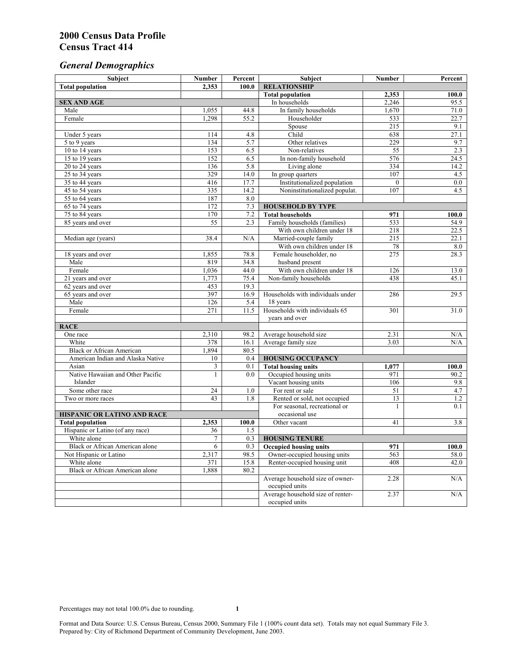# *General Demographics*

| Subject                           | <b>Number</b>   | Percent | Subject                                            | <b>Number</b> | Percent   |
|-----------------------------------|-----------------|---------|----------------------------------------------------|---------------|-----------|
| <b>Total population</b>           | 2,353           | 100.0   | <b>RELATIONSHIP</b>                                |               |           |
|                                   |                 |         | <b>Total population</b>                            | 2,353         | 100.0     |
| <b>SEX AND AGE</b>                |                 |         | In households                                      | 2,246         | 95.5      |
| Male                              | 1,055           | 44.8    | In family households                               | 1,670         | 71.0      |
| Female                            | 1,298           | 55.2    | Householder                                        | 533           | 22.7      |
|                                   |                 |         | Spouse                                             | 215           | 9.1       |
| Under 5 years                     | 114             | 4.8     | Child                                              | 638           | 27.1      |
| 5 to 9 years                      | 134             | 5.7     | Other relatives                                    | 229           | 9.7       |
| 10 to 14 years                    | 153             | 6.5     | Non-relatives                                      | 55            | 2.3       |
| 15 to 19 years                    | 152             | 6.5     | In non-family household                            | 576           | 24.5      |
| 20 to 24 years                    | 136             | 5.8     | Living alone                                       | 334           | 14.2      |
| $25 \text{ to } 34$ years         | 329             | 14.0    | In group quarters                                  | 107           | 4.5       |
| 35 to 44 years                    | 416             | 17.7    | Institutionalized population                       | $\theta$      | 0.0       |
| 45 to 54 years                    | 335             | 14.2    | Noninstitutionalized populat.                      | 107           | 4.5       |
| 55 to 64 years                    | 187             | 8.0     |                                                    |               |           |
| 65 to 74 years                    | 172             | 7.3     | <b>HOUSEHOLD BY TYPE</b>                           |               |           |
| 75 to 84 years                    | 170             | 7.2     | <b>Total households</b>                            | 971           | 100.0     |
| 85 years and over                 | $\overline{55}$ | 2.3     | Family households (families)                       | 533           | 54.9      |
|                                   |                 |         | With own children under 18                         | 218           | 22.5      |
| Median age (years)                | 38.4            | N/A     | Married-couple family                              | 215           | 22.1      |
|                                   |                 |         | With own children under 18                         | 78            | 8.0       |
| 18 years and over                 | 1,855           | 78.8    | Female householder, no                             | 275           | 28.3      |
| Male                              | 819             | 34.8    | husband present                                    |               |           |
| Female                            | 1,036           | 44.0    | With own children under 18                         | 126           | 13.0      |
| 21 years and over                 | 1,773           | 75.4    | Non-family households                              | 438           | 45.1      |
| 62 years and over                 | 453             | 19.3    |                                                    |               |           |
| 65 years and over                 | 397             | 16.9    | Households with individuals under                  | 286           | 29.5      |
| Male                              | 126             | 5.4     | 18 years                                           |               |           |
| Female                            | 271             | 11.5    | Households with individuals 65                     | 301           | 31.0      |
|                                   |                 |         | years and over                                     |               |           |
| <b>RACE</b>                       |                 |         |                                                    |               |           |
| One race                          | 2,310           | 98.2    | Average household size                             | 2.31          | $\rm N/A$ |
| White                             | 378             | 16.1    | Average family size                                | 3.03          | N/A       |
| <b>Black or African American</b>  | 1,894           | 80.5    |                                                    |               |           |
| American Indian and Alaska Native | 10              | 0.4     | <b>HOUSING OCCUPANCY</b>                           |               |           |
| Asian                             | 3               | 0.1     | <b>Total housing units</b>                         | 1,077         | 100.0     |
| Native Hawaiian and Other Pacific | $\mathbf{1}$    | 0.0     | Occupied housing units                             | 971           | 90.2      |
| Islander                          |                 |         | Vacant housing units                               | 106           | 9.8       |
| Some other race                   | 24              | 1.0     | For rent or sale                                   | 51            | 4.7       |
| Two or more races                 | 43              | 1.8     | Rented or sold, not occupied                       | 13            | 1.2       |
|                                   |                 |         | For seasonal, recreational or                      | 1             | 0.1       |
| HISPANIC OR LATINO AND RACE       |                 |         | occasional use                                     |               |           |
| <b>Total population</b>           | 2,353           | 100.0   | Other vacant                                       | 41            | 3.8       |
| Hispanic or Latino (of any race)  | 36              | 1.5     |                                                    |               |           |
| White alone                       | $\overline{7}$  | 0.3     | <b>HOUSING TENURE</b>                              |               |           |
| Black or African American alone   | 6               | 0.3     | <b>Occupied housing units</b>                      | 971           | 100.0     |
| Not Hispanic or Latino            | 2,317           | 98.5    | Owner-occupied housing units                       | 563           | 58.0      |
| White alone                       | 371             | 15.8    | Renter-occupied housing unit                       | 408           | 42.0      |
| Black or African American alone   | 1,888           | 80.2    |                                                    |               |           |
|                                   |                 |         | Average household size of owner-<br>occupied units | 2.28          | N/A       |
|                                   |                 |         | Average household size of renter-                  | 2.37          | N/A       |
|                                   |                 |         | occupied units                                     |               |           |
|                                   |                 |         |                                                    |               |           |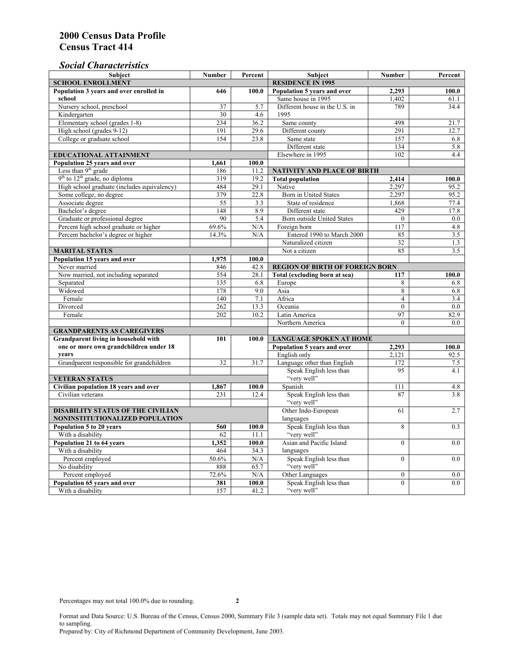## *Social Characteristics*

| <b>Subject</b>                                       | <b>Number</b>            | Percent       | <b>Subject</b>                         | <b>Number</b>    | Percent |
|------------------------------------------------------|--------------------------|---------------|----------------------------------------|------------------|---------|
| <b>SCHOOL ENROLLMENT</b>                             | <b>RESIDENCE IN 1995</b> |               |                                        |                  |         |
| Population 3 years and over enrolled in              | 646                      | 100.0         | Population 5 years and over            | 2,293            | 100.0   |
| school                                               |                          |               | Same house in 1995                     | 1,402            | 61.1    |
| Nursery school, preschool                            | 37                       | 5.7           | Different house in the U.S. in         | 789              | 34.4    |
| Kindergarten                                         | 30                       | 4.6           | 1995                                   |                  |         |
| Elementary school (grades 1-8)                       | 234                      | 36.2          | Same county                            | 498              | 21.7    |
| High school (grades 9-12)                            | 191                      | 29.6          | Different county                       | 291              | 12.7    |
| College or graduate school                           | 154                      | 23.8          | Same state                             | 157              | 6.8     |
|                                                      |                          |               | Different state                        | 134              | 5.8     |
| EDUCATIONAL ATTAINMENT                               |                          |               | Elsewhere in 1995                      | 102              | 4.4     |
| Population 25 years and over                         | 1,661                    | 100.0         |                                        |                  |         |
| Less than 9 <sup>th</sup> grade                      | 186                      | 11.2          | NATIVITY AND PLACE OF BIRTH            |                  |         |
| $9th$ to $12th$ grade, no diploma                    | 319                      | 19.2          | <b>Total population</b>                | 2,414            | 100.0   |
| High school graduate (includes equivalency)          | 484                      | 29.1          | Native                                 | 2.297            | 95.2    |
| Some college, no degree                              | 379                      | 22.8          | Born in United States                  | 2,297            | 95.2    |
| Associate degree                                     | 55                       | 3.3           | State of residence                     | 1,868            | 77.4    |
| Bachelor's degree                                    | 148                      | 8.9           | Different state                        | 429              | 17.8    |
| Graduate or professional degree                      | 90                       | 5.4           | Born outside United States             | $\mathbf{0}$     | 0.0     |
| Percent high school graduate or higher               | 69.6%                    | N/A           | Foreign born                           | 117              | 4.8     |
| Percent bachelor's degree or higher                  | 14.3%                    | N/A           | Entered 1990 to March 2000             | 85               | 3.5     |
|                                                      |                          |               | Naturalized citizen                    | 32               | 1.3     |
| <b>MARITAL STATUS</b>                                |                          | Not a citizen | 85                                     | 3.5              |         |
| Population 15 years and over                         | 1,975                    | 100.0         |                                        |                  |         |
| Never married                                        | 846                      | 42.8          | <b>REGION OF BIRTH OF FOREIGN BORN</b> |                  |         |
| Now married, not including separated                 | 554                      | 28.1          | Total (excluding born at sea)          | 117              | 100.0   |
| Separated                                            | 135                      | 6.8           | Europe                                 | 8                | 6.8     |
| Widowed                                              | 178                      | 9.0           | Asia                                   | 8                | 6.8     |
| Female                                               | 140                      | 7.1           | Africa                                 | $\overline{4}$   | 3.4     |
| Divorced                                             | 262                      | 13.3          | Oceania                                | $\Omega$         | 0.0     |
| Female                                               | 202                      | 10.2          | Latin America                          | 97               | 82.9    |
|                                                      |                          |               | Northern America                       | $\theta$         | 0.0     |
| <b>GRANDPARENTS AS CAREGIVERS</b>                    |                          |               |                                        |                  |         |
| Grandparent living in household with<br>101<br>100.0 |                          |               | <b>LANGUAGE SPOKEN AT HOME</b>         |                  |         |
| one or more own grandchildren under 18               |                          |               | Population 5 years and over            | 2,293            | 100.0   |
| years                                                |                          |               | English only                           | 2,121            | 92.5    |
| Grandparent responsible for grandchildren            | 32                       | 31.7          | Language other than English            | 172              | 7.5     |
|                                                      |                          |               | Speak English less than                | 95               | 4.1     |
| <b>VETERAN STATUS</b>                                |                          |               | "very well"                            |                  |         |
| Civilian population 18 years and over                | 1,867                    | 100.0         | Spanish                                | 111              | 4.8     |
| Civilian veterans                                    | 231                      | 12.4          | Speak English less than<br>"very well" | 87               | 3.8     |
| <b>DISABILITY STATUS OF THE CIVILIAN</b>             | Other Indo-European      | 61            | 2.7                                    |                  |         |
| NONINSTITUTIONALIZED POPULATION                      | languages                |               |                                        |                  |         |
| Population 5 to 20 years                             | 560                      | 100.0         | Speak English less than                | 8                | 0.3     |
| With a disability                                    | 62                       | 11.1          | "very well"                            |                  |         |
| Population 21 to 64 years                            | 1,352                    | 100.0         | Asian and Pacific Island               | $\theta$         | 0.0     |
| With a disability                                    | 464                      | 34.3          | languages                              |                  |         |
| Percent employed                                     | 50.6%                    | N/A           | Speak English less than                | $\overline{0}$   | 0.0     |
| No disability                                        | 888                      | 65.7          | "very well"                            |                  |         |
| Percent employed                                     | 72.6%                    | $\rm N/A$     | Other Languages                        | $\boldsymbol{0}$ | $0.0\,$ |
| Population 65 years and over                         | 381                      | 100.0         | Speak English less than                | $\overline{0}$   | 0.0     |
| With a disability                                    | 157                      | 41.2          | "very well"                            |                  |         |

Format and Data Source: U.S. Bureau of the Census, Census 2000, Summary File 3 (sample data set). Totals may not equal Summary File 1 due to sampling. Prepared by: City of Richmond Department of Community Development, June 2003.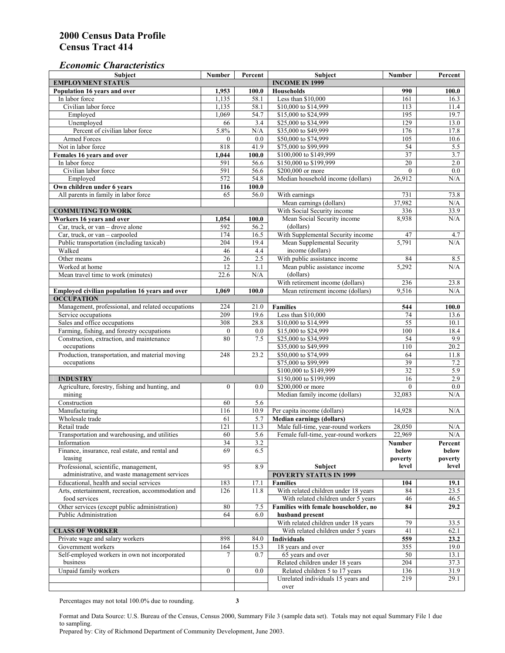#### *Economic Characteristics*

| Subject                                            | <b>Number</b>    | Percent | Subject                                                                     | <b>Number</b>    | Percent          |
|----------------------------------------------------|------------------|---------|-----------------------------------------------------------------------------|------------------|------------------|
| <b>EMPLOYMENT STATUS</b>                           |                  |         | <b>INCOME IN 1999</b>                                                       |                  |                  |
| Population 16 years and over                       | 1,953            | 100.0   | <b>Households</b>                                                           | 990              | 100.0            |
| In labor force                                     | 1,135            | 58.1    | Less than \$10,000                                                          | 161              | 16.3             |
| Civilian labor force                               | 1,135            | 58.1    | \$10,000 to \$14,999                                                        | 113              | 11.4             |
| Employed                                           | 1,069            | 54.7    | \$15,000 to \$24,999                                                        | 195              | 19.7             |
| Unemployed                                         | 66               | 3.4     | \$25,000 to \$34,999                                                        | 129              | 13.0             |
| Percent of civilian labor force                    | 5.8%             | N/A     | \$35,000 to \$49,999                                                        | 176              | 17.8             |
| <b>Armed Forces</b>                                | $\Omega$         | 0.0     | \$50,000 to \$74,999                                                        | 105              | 10.6             |
| Not in labor force                                 | 818              | 41.9    | \$75,000 to \$99,999                                                        | 54               | 5.5              |
| Females 16 years and over                          | 1,044            | 100.0   | \$100,000 to \$149,999                                                      | 37               | 3.7              |
| In labor force                                     | 591              | 56.6    | \$150,000 to \$199,999                                                      | $\overline{20}$  | $2.0\,$          |
| Civilian labor force                               | 591              | 56.6    | \$200,000 or more                                                           | $\mathbf{0}$     | $\overline{0.0}$ |
| Employed                                           | 572              | 54.8    | Median household income (dollars)                                           | 26,912           | N/A              |
| Own children under 6 years                         | 116              | 100.0   |                                                                             |                  |                  |
| All parents in family in labor force               | 65               | 56.0    | With earnings                                                               | 731              | 73.8             |
|                                                    |                  |         | Mean earnings (dollars)                                                     | 37,982           | N/A              |
| <b>COMMUTING TO WORK</b>                           |                  |         | With Social Security income                                                 | 336              | 33.9             |
| Workers 16 years and over                          | 1,054            | 100.0   | Mean Social Security income                                                 | 8,938            | N/A              |
| Car, truck, or van - drove alone                   | 592              | 56.2    | (dollars)                                                                   |                  |                  |
| Car, truck, or $van$ – carpooled                   | 174              | 16.5    | With Supplemental Security income                                           | 47               | 4.7              |
| Public transportation (including taxicab)          | 204              | 19.4    | Mean Supplemental Security                                                  | 5,791            | N/A              |
| Walked                                             | 46               | 4.4     | income (dollars)                                                            |                  |                  |
| Other means                                        | 26               | 2.5     | With public assistance income                                               | 84               | 8.5              |
| Worked at home                                     | 12               | 1.1     | Mean public assistance income                                               | 5,292            | N/A              |
| Mean travel time to work (minutes)                 | 22.6             | N/A     | (dollars)                                                                   |                  |                  |
|                                                    |                  |         | With retirement income (dollars)                                            | 236              | 23.8             |
| Employed civilian population 16 years and over     | 1,069            | 100.0   | Mean retirement income (dollars)                                            | 9,516            | N/A              |
| <b>OCCUPATION</b>                                  |                  |         |                                                                             |                  |                  |
| Management, professional, and related occupations  | 224              | 21.0    | <b>Families</b>                                                             | 544              | 100.0            |
| Service occupations                                | 209              | 19.6    | Less than \$10,000                                                          | 74               | 13.6             |
| Sales and office occupations                       | 308              | 28.8    | \$10,000 to \$14,999                                                        | $\overline{55}$  | 10.1             |
| Farming, fishing, and forestry occupations         | $\mathbf{0}$     | 0.0     | \$15,000 to \$24,999                                                        | 100              | 18.4             |
| Construction, extraction, and maintenance          | 80               | 7.5     | \$25,000 to \$34,999                                                        | 54               | 9.9              |
| occupations                                        |                  |         | \$35,000 to \$49,999                                                        | $\overline{110}$ | 20.2             |
| Production, transportation, and material moving    | 248              | 23.2    | \$50,000 to \$74,999                                                        | 64               | 11.8             |
| occupations                                        |                  |         | \$75,000 to \$99,999                                                        | 39               | 7.2              |
|                                                    |                  |         | \$100,000 to \$149,999                                                      | $\overline{32}$  | 5.9              |
| <b>INDUSTRY</b>                                    |                  |         | \$150,000 to \$199,999                                                      | 16               | 2.9              |
| Agriculture, forestry, fishing and hunting, and    | $\boldsymbol{0}$ | 0.0     | \$200,000 or more                                                           | $\mathbf{0}$     | 0.0              |
| mining                                             |                  |         | Median family income (dollars)                                              | 32,083           | N/A              |
| Construction                                       | 60               | 5.6     |                                                                             |                  |                  |
| Manufacturing                                      | 116              | 10.9    | Per capita income (dollars)                                                 | 14,928           | N/A              |
| Wholesale trade                                    | 61               | 5.7     | <b>Median earnings (dollars)</b>                                            |                  |                  |
| Retail trade                                       | 121              | 11.3    | Male full-time, year-round workers                                          | 28,050           | N/A              |
| Transportation and warehousing, and utilities      | 60               | 5.6     | Female full-time, year-round workers                                        | 22,969           | $\rm N/A$        |
| Information                                        | 34               | 3.2     |                                                                             |                  | Percent          |
| Finance, insurance, real estate, and rental and    | 69               | 6.5     |                                                                             | Number<br>below  | below            |
| leasing                                            |                  |         |                                                                             | poverty          | poverty          |
| Professional, scientific, management,              | 95               | 8.9     | Subject                                                                     | level            | level            |
| administrative, and waste management services      |                  |         | <b>POVERTY STATUS IN 1999</b>                                               |                  |                  |
| Educational, health and social services            | 183              | 17.1    | <b>Families</b>                                                             | 104              | 19.1             |
| Arts, entertainment, recreation, accommodation and | 126              | 11.8    |                                                                             | 84               | 23.5             |
| food services                                      |                  |         | With related children under 18 years<br>With related children under 5 years | 46               | 46.5             |
| Other services (except public administration)      | 80               | 7.5     | Families with female householder, no                                        |                  | 29.2             |
| Public Administration                              |                  |         |                                                                             | 84               |                  |
|                                                    | 64               | 6.0     | husband present                                                             |                  |                  |
|                                                    |                  |         | With related children under 18 years                                        | 79               | 33.5             |
| <b>CLASS OF WORKER</b>                             |                  |         | With related children under 5 years                                         | 41               | 62.1             |
| Private wage and salary workers                    | 898              | 84.0    | <b>Individuals</b>                                                          | 559              | 23.2             |
| Government workers                                 | 164              | 15.3    | 18 years and over                                                           | 355              | 19.0             |
| Self-employed workers in own not incorporated      | 7                | 0.7     | 65 years and over                                                           | 50               | 13.1             |
| business                                           |                  |         | Related children under 18 years                                             | 204              | 37.3             |
| Unpaid family workers                              | $\overline{0}$   | 0.0     | Related children 5 to 17 years                                              | 136              | 31.9             |
|                                                    |                  |         | Unrelated individuals 15 years and                                          | 219              | 29.1             |
|                                                    |                  |         | over                                                                        |                  |                  |

Percentages may not total 100.0% due to rounding. **3** 

Format and Data Source: U.S. Bureau of the Census, Census 2000, Summary File 3 (sample data set). Totals may not equal Summary File 1 due to sampling.

Prepared by: City of Richmond Department of Community Development, June 2003.